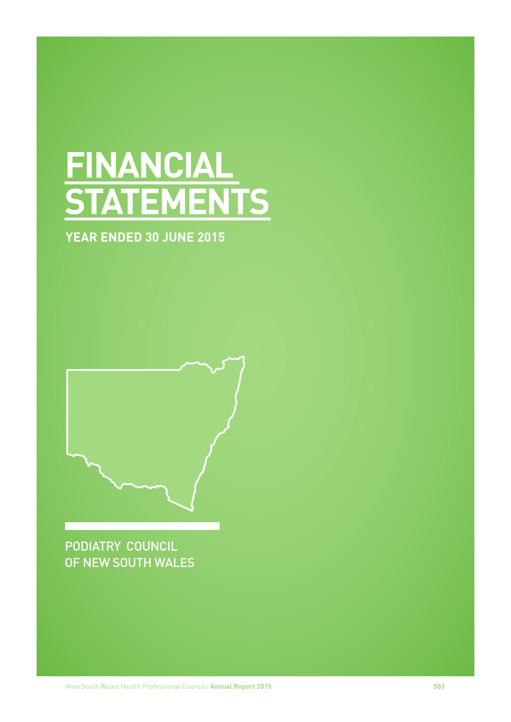# **FINANCIAL STATEMENTS**

# **YEAR ENDED 30 JUNE 2015**

PODIATRY COUNCIL OF NEW SOUTH WALES

New South Wales Health Professional Councils **Annual Report 2015 503**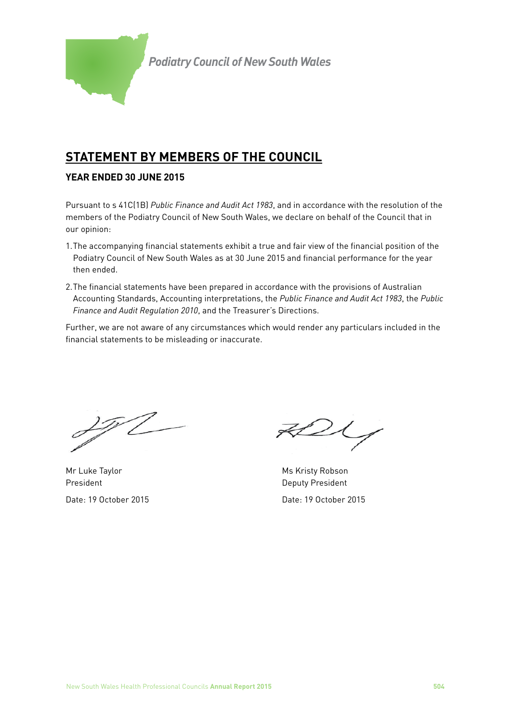

# **STATEMENT BY MEMBERS OF THE COUNCIL**

# **YEAR ENDED 30 JUNE 2015**

Pursuant to s 41C(1B) *Public Finance and Audit Act 1983*, and in accordance with the resolution of the members of the Podiatry Council of New South Wales, we declare on behalf of the Council that in our opinion:

- 1.The accompanying financial statements exhibit a true and fair view of the financial position of the Podiatry Council of New South Wales as at 30 June 2015 and financial performance for the year then ended.
- 2.The financial statements have been prepared in accordance with the provisions of Australian Accounting Standards, Accounting interpretations, the *Public Finance and Audit Act 1983*, the *Public Finance and Audit Regulation 2010*, and the Treasurer's Directions.

Further, we are not aware of any circumstances which would render any particulars included in the financial statements to be misleading or inaccurate.

<u> 1 T</u>

Mr Luke Taylor Ms Kristy Robson President **Deputy President** 

 $2\zeta$ 

Date: 19 October 2015 Date: 19 October 2015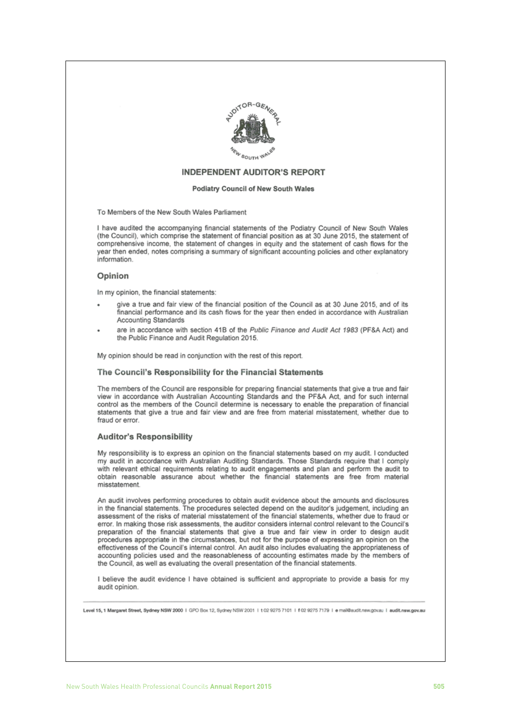

#### **INDEPENDENT AUDITOR'S REPORT**

#### Podiatry Council of New South Wales

To Members of the New South Wales Parliament

I have audited the accompanying financial statements of the Podiatry Council of New South Wales (the Council), which comprise the statement of financial position as at 30 June 2015, the statement of comprehensive income, the statement of changes in equity and the statement of cash flows for the year then ended, notes comprising a summary of significant accounting policies and other explanatory information.

#### Opinion

In my opinion, the financial statements:

- give a true and fair view of the financial position of the Council as at 30 June 2015, and of its financial performance and its cash flows for the year then ended in accordance with Australian Accounting Standards
- are in accordance with section 41B of the Public Finance and Audit Act 1983 (PF&A Act) and the Public Finance and Audit Regulation 2015.

My opinion should be read in conjunction with the rest of this report.

#### The Council's Responsibility for the Financial Statements

The members of the Council are responsible for preparing financial statements that give a true and fair view in accordance with Australian Accounting Standards and the PF&A Act, and for such internal control as the members of the Council determine is necessary to enable the preparation of financial statements that give a true and fair view and are free from material misstatement, whether due to fraud or error.

#### **Auditor's Responsibility**

My responsibility is to express an opinion on the financial statements based on my audit. I conducted my audit in accordance with Australian Auditing Standards. Those Standards require that I comply with relevant ethical requirements relating to audit engagements and plan and perform the audit to obtain reasonable assurance about whether the financial statements are free from material misstatement.

An audit involves performing procedures to obtain audit evidence about the amounts and disclosures in the financial statements. The procedures selected depend on the auditor's judgement, including an assessment of the risks of material misstatement of the financial statements, whether due to fraud or error. In making those risk assessments, the auditor considers internal control relevant to the Council's preparation of the financial statements that give a true and fair view in order to design audit procedures appropriate in the circumstances, but not for the purpose of expressing an opinion on the effectiveness of the Council's internal control. An audit also includes evaluating the appropriateness of accounting policies used and the reasonableness of accounting estimates made by the members of the Council, as well as evaluating the overall presentation of the financial statements.

I believe the audit evidence I have obtained is sufficient and appropriate to provide a basis for my audit opinion.

Level 15.1 Margaret Street, Sydney NSW 2000 | GPO Box 12, Sydney NSW 2001 | 102 9275 7101 | 102 9275 7179 | e mail@audit.nsw.gov.au | audit.nsw.gov.au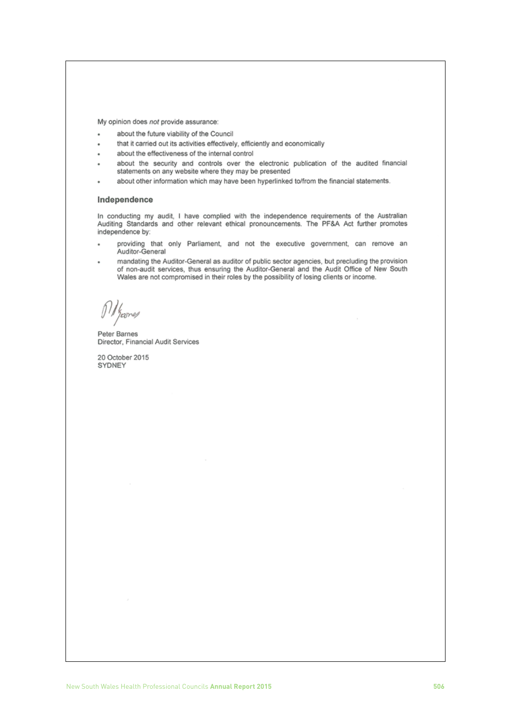My opinion does not provide assurance:

- about the future viability of the Council
- that it carried out its activities effectively, efficiently and economically
- about the effectiveness of the internal control
- about the security and controls over the electronic publication of the audited financial statements on any website where they may be presented
- about other information which may have been hyperlinked to/from the financial statements.

#### Independence

In conducting my audit, I have complied with the independence requirements of the Australian Auditing Standards and other relevant ethical pronouncements. The PF&A Act further promotes independence by:

- providing that only Parliament, and not the executive government, can remove an Auditor-General
- mandating the Auditor-General as auditor of public sector agencies, but precluding the provision of non-audit services, thus ensuring the Auditor-General and the Audit Office of New South Wales are not compromised in their roles by the possibility of losing clients or income.

 $\frac{1}{2}$ 

Peter Barnes Director, Financial Audit Services

20 October 2015 SYDNEY

New South Wales Health Professional Councils **Annual Report 2015 506**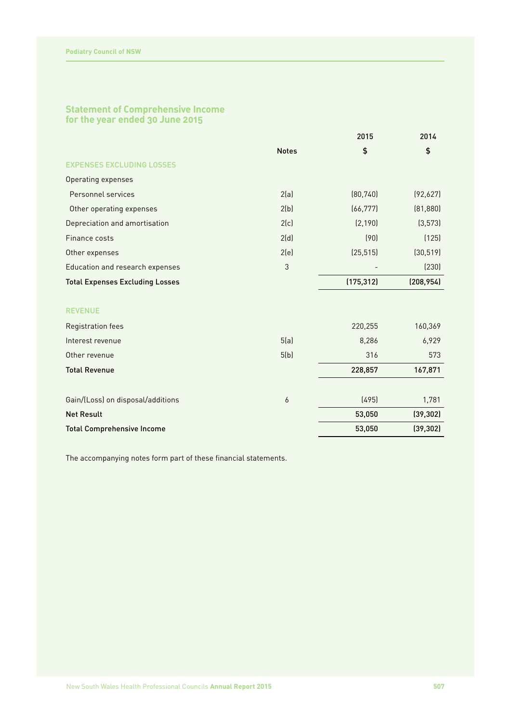# **Statement of Comprehensive Income for the year ended 30 June 2015**

|                                        |              | 2015       | 2014       |
|----------------------------------------|--------------|------------|------------|
|                                        | <b>Notes</b> | \$         | \$         |
| <b>EXPENSES EXCLUDING LOSSES</b>       |              |            |            |
| Operating expenses                     |              |            |            |
| Personnel services                     | 2(a)         | (80, 740)  | (92,627)   |
| Other operating expenses               | 2(b)         | (66, 777)  | (81, 880)  |
| Depreciation and amortisation          | 2(c)         | (2, 190)   | (3, 573)   |
| Finance costs                          | 2(d)         | (90)       | (125)      |
| Other expenses                         | 2(e)         | (25, 515)  | (30, 519)  |
| Education and research expenses        | 3            |            | (230)      |
| <b>Total Expenses Excluding Losses</b> |              | (175, 312) | (208, 954) |
| <b>REVENUE</b>                         |              |            |            |
| Registration fees                      |              | 220,255    | 160,369    |
| Interest revenue                       | 5(a)         | 8,286      | 6,929      |
| Other revenue                          | 5(b)         | 316        | 573        |
| <b>Total Revenue</b>                   |              | 228,857    | 167,871    |
| Gain/(Loss) on disposal/additions      | 6            | (495)      | 1,781      |
| <b>Net Result</b>                      |              | 53,050     | (39, 302)  |
| <b>Total Comprehensive Income</b>      |              | 53,050     | (39, 302)  |
|                                        |              |            |            |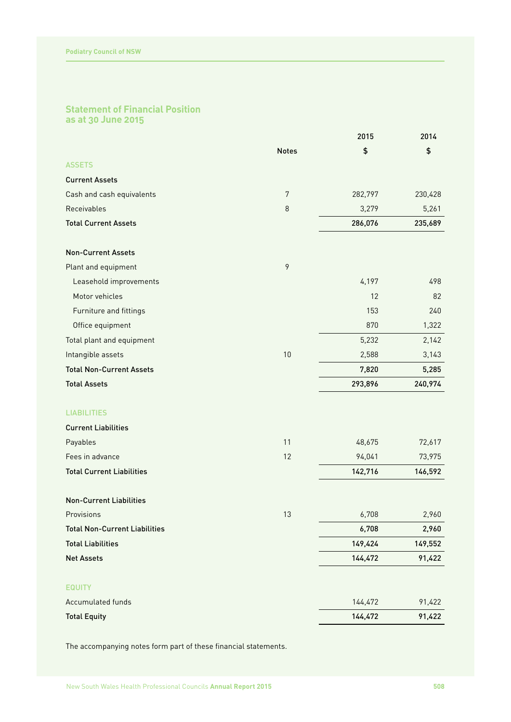# **Statement of Financial Position as at 30 June 2015**

|                                      |                | 2015    | 2014    |
|--------------------------------------|----------------|---------|---------|
|                                      | <b>Notes</b>   | \$      | \$      |
| <b>ASSETS</b>                        |                |         |         |
| <b>Current Assets</b>                |                |         |         |
| Cash and cash equivalents            | $\overline{7}$ | 282,797 | 230,428 |
| Receivables                          | 8              | 3,279   | 5,261   |
| <b>Total Current Assets</b>          |                | 286,076 | 235,689 |
| <b>Non-Current Assets</b>            |                |         |         |
| Plant and equipment                  | $\mathcal{P}$  |         |         |
| Leasehold improvements               |                | 4,197   | 498     |
| Motor vehicles                       |                | 12      | 82      |
| Furniture and fittings               |                | 153     | 240     |
| Office equipment                     |                | 870     | 1,322   |
| Total plant and equipment            |                | 5,232   | 2,142   |
| Intangible assets                    | 10             | 2,588   | 3,143   |
| <b>Total Non-Current Assets</b>      |                | 7,820   | 5,285   |
| <b>Total Assets</b>                  |                | 293,896 | 240,974 |
| <b>LIABILITIES</b>                   |                |         |         |
| <b>Current Liabilities</b>           |                |         |         |
| Payables                             | 11             | 48,675  | 72,617  |
| Fees in advance                      | 12             | 94,041  | 73,975  |
| <b>Total Current Liabilities</b>     |                | 142,716 | 146,592 |
| <b>Non-Current Liabilities</b>       |                |         |         |
| Provisions                           | 13             | 6,708   | 2,960   |
| <b>Total Non-Current Liabilities</b> |                | 6,708   | 2,960   |
| <b>Total Liabilities</b>             |                | 149,424 | 149,552 |
| <b>Net Assets</b>                    |                | 144,472 | 91,422  |
| <b>EQUITY</b>                        |                |         |         |
| Accumulated funds                    |                | 144,472 | 91,422  |
| <b>Total Equity</b>                  |                | 144,472 | 91,422  |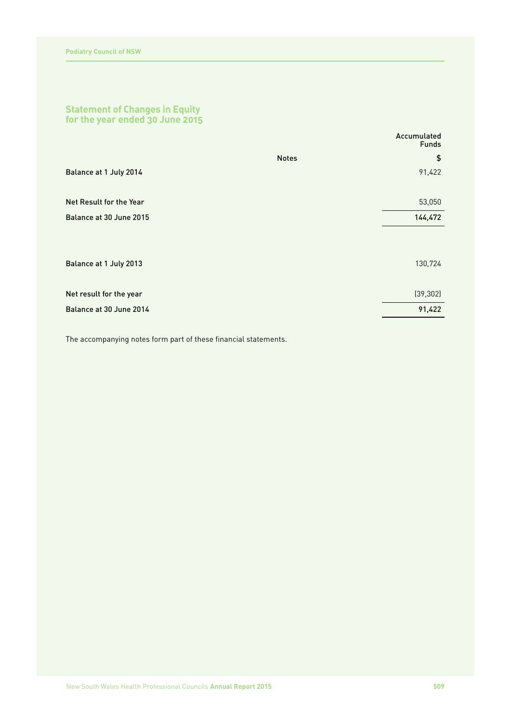# **Statement of Changes in Equity for the year ended 30 June 2015**

|                         | Accumulated<br><b>Funds</b> |
|-------------------------|-----------------------------|
|                         | \$<br><b>Notes</b>          |
| Balance at 1 July 2014  | 91,422                      |
|                         |                             |
| Net Result for the Year | 53,050                      |
| Balance at 30 June 2015 | 144,472                     |
|                         |                             |
| Balance at 1 July 2013  | 130,724                     |
| Net result for the year | (39, 302)                   |
| Balance at 30 June 2014 | 91,422                      |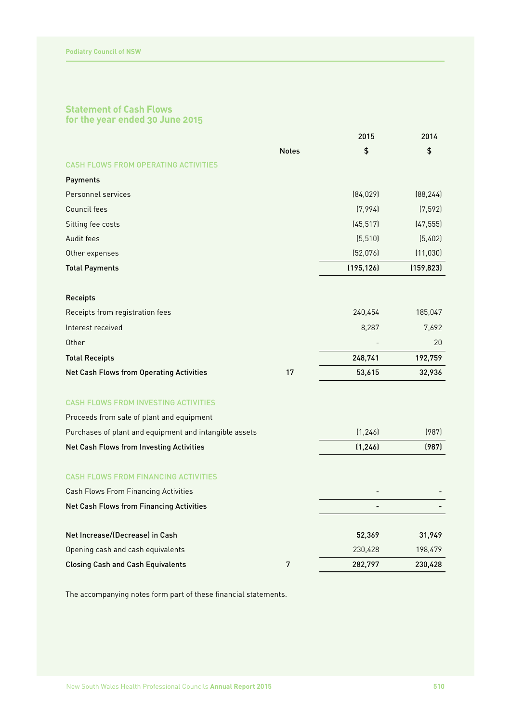# **Statement of Cash Flows for the year ended 30 June 2015**

|                                                        |              | 2015       | 2014       |
|--------------------------------------------------------|--------------|------------|------------|
|                                                        | <b>Notes</b> | \$         | \$         |
| <b>CASH FLOWS FROM OPERATING ACTIVITIES</b>            |              |            |            |
| Payments                                               |              |            |            |
| Personnel services                                     |              | [84, 029]  | [88, 244]  |
| Council fees                                           |              | (7,994)    | (7, 592)   |
| Sitting fee costs                                      |              | (45, 517)  | (47, 555)  |
| Audit fees                                             |              | (5, 510)   | (5,402)    |
| Other expenses                                         |              | (52,076)   | (11, 030)  |
| <b>Total Payments</b>                                  |              | (195, 126) | (159, 823) |
| Receipts                                               |              |            |            |
| Receipts from registration fees                        |              | 240,454    | 185,047    |
| Interest received                                      |              | 8,287      | 7,692      |
| Other                                                  |              |            | 20         |
| <b>Total Receipts</b>                                  |              | 248,741    | 192,759    |
| Net Cash Flows from Operating Activities               | 17           | 53,615     | 32,936     |
| <b>CASH FLOWS FROM INVESTING ACTIVITIES</b>            |              |            |            |
| Proceeds from sale of plant and equipment              |              |            |            |
| Purchases of plant and equipment and intangible assets |              | (1, 246)   | (987)      |
| Net Cash Flows from Investing Activities               |              | (1, 246)   | (987)      |
| <b>CASH FLOWS FROM FINANCING ACTIVITIES</b>            |              |            |            |
| Cash Flows From Financing Activities                   |              |            |            |
| <b>Net Cash Flows from Financing Activities</b>        |              |            |            |
|                                                        |              |            |            |
| Net Increase/(Decrease) in Cash                        |              | 52,369     | 31,949     |
| Opening cash and cash equivalents                      |              | 230,428    | 198,479    |
| <b>Closing Cash and Cash Equivalents</b>               | 7            | 282,797    | 230,428    |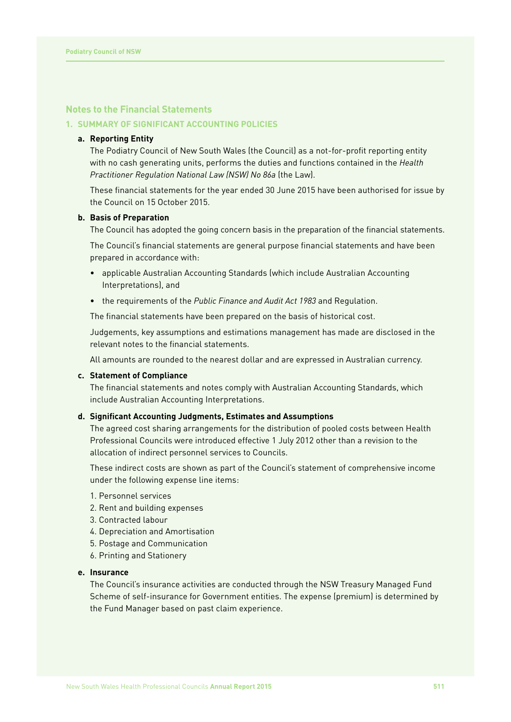# **Notes to the Financial Statements**

# **1. SUMMARY OF SIGNIFICANT ACCOUNTING POLICIES**

# **a. Reporting Entity**

The Podiatry Council of New South Wales (the Council) as a not-for-profit reporting entity with no cash generating units, performs the duties and functions contained in the *Health Practitioner Regulation National Law (NSW) No 86a* (the Law).

These financial statements for the year ended 30 June 2015 have been authorised for issue by the Council on 15 October 2015.

#### **b. Basis of Preparation**

The Council has adopted the going concern basis in the preparation of the financial statements.

The Council's financial statements are general purpose financial statements and have been prepared in accordance with:

- applicable Australian Accounting Standards (which include Australian Accounting Interpretations), and
- the requirements of the *Public Finance and Audit Act 1983* and Regulation.

The financial statements have been prepared on the basis of historical cost.

Judgements, key assumptions and estimations management has made are disclosed in the relevant notes to the financial statements.

All amounts are rounded to the nearest dollar and are expressed in Australian currency.

#### **c. Statement of Compliance**

The financial statements and notes comply with Australian Accounting Standards, which include Australian Accounting Interpretations.

#### **d. Significant Accounting Judgments, Estimates and Assumptions**

The agreed cost sharing arrangements for the distribution of pooled costs between Health Professional Councils were introduced effective 1 July 2012 other than a revision to the allocation of indirect personnel services to Councils.

These indirect costs are shown as part of the Council's statement of comprehensive income under the following expense line items:

- 1. Personnel services
- 2. Rent and building expenses
- 3. Contracted labour
- 4. Depreciation and Amortisation
- 5. Postage and Communication
- 6. Printing and Stationery

#### **e. Insurance**

The Council's insurance activities are conducted through the NSW Treasury Managed Fund Scheme of self-insurance for Government entities. The expense (premium) is determined by the Fund Manager based on past claim experience.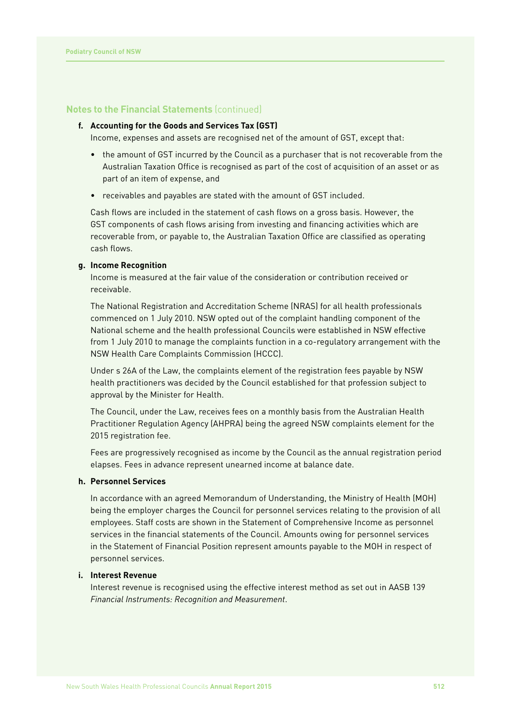### **f. Accounting for the Goods and Services Tax (GST)**

Income, expenses and assets are recognised net of the amount of GST, except that:

- the amount of GST incurred by the Council as a purchaser that is not recoverable from the Australian Taxation Office is recognised as part of the cost of acquisition of an asset or as part of an item of expense, and
- receivables and payables are stated with the amount of GST included.

Cash flows are included in the statement of cash flows on a gross basis. However, the GST components of cash flows arising from investing and financing activities which are recoverable from, or payable to, the Australian Taxation Office are classified as operating cash flows.

# **g. Income Recognition**

Income is measured at the fair value of the consideration or contribution received or receivable.

The National Registration and Accreditation Scheme (NRAS) for all health professionals commenced on 1 July 2010. NSW opted out of the complaint handling component of the National scheme and the health professional Councils were established in NSW effective from 1 July 2010 to manage the complaints function in a co-regulatory arrangement with the NSW Health Care Complaints Commission (HCCC).

Under s 26A of the Law, the complaints element of the registration fees payable by NSW health practitioners was decided by the Council established for that profession subject to approval by the Minister for Health.

The Council, under the Law, receives fees on a monthly basis from the Australian Health Practitioner Regulation Agency (AHPRA) being the agreed NSW complaints element for the 2015 registration fee.

Fees are progressively recognised as income by the Council as the annual registration period elapses. Fees in advance represent unearned income at balance date.

# **h. Personnel Services**

In accordance with an agreed Memorandum of Understanding, the Ministry of Health (MOH) being the employer charges the Council for personnel services relating to the provision of all employees. Staff costs are shown in the Statement of Comprehensive Income as personnel services in the financial statements of the Council. Amounts owing for personnel services in the Statement of Financial Position represent amounts payable to the MOH in respect of personnel services.

# **i. Interest Revenue**

Interest revenue is recognised using the effective interest method as set out in AASB 139 *Financial Instruments: Recognition and Measurement*.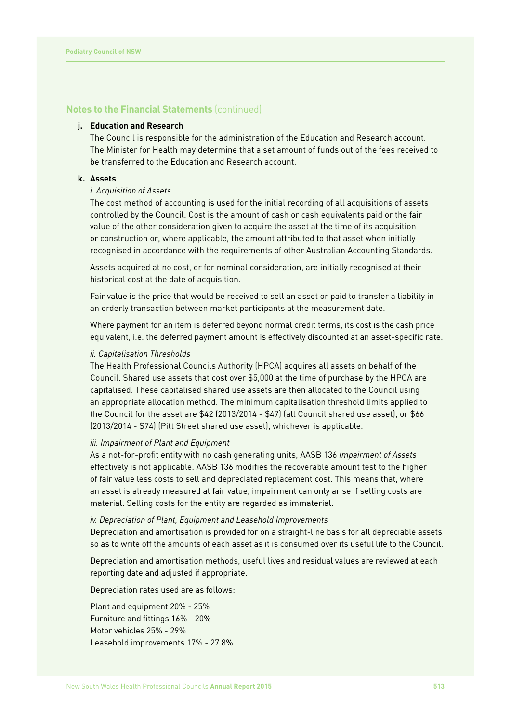### **j. Education and Research**

The Council is responsible for the administration of the Education and Research account. The Minister for Health may determine that a set amount of funds out of the fees received to be transferred to the Education and Research account.

# **k. Assets**

# *i. Acquisition of Assets*

The cost method of accounting is used for the initial recording of all acquisitions of assets controlled by the Council. Cost is the amount of cash or cash equivalents paid or the fair value of the other consideration given to acquire the asset at the time of its acquisition or construction or, where applicable, the amount attributed to that asset when initially recognised in accordance with the requirements of other Australian Accounting Standards.

Assets acquired at no cost, or for nominal consideration, are initially recognised at their historical cost at the date of acquisition.

Fair value is the price that would be received to sell an asset or paid to transfer a liability in an orderly transaction between market participants at the measurement date.

Where payment for an item is deferred beyond normal credit terms, its cost is the cash price equivalent, i.e. the deferred payment amount is effectively discounted at an asset-specific rate.

#### *ii. Capitalisation Thresholds*

The Health Professional Councils Authority (HPCA) acquires all assets on behalf of the Council. Shared use assets that cost over \$5,000 at the time of purchase by the HPCA are capitalised. These capitalised shared use assets are then allocated to the Council using an appropriate allocation method. The minimum capitalisation threshold limits applied to the Council for the asset are \$42 (2013/2014 - \$47) (all Council shared use asset), or \$66 (2013/2014 - \$74) (Pitt Street shared use asset), whichever is applicable.

## *iii. Impairment of Plant and Equipment*

As a not-for-profit entity with no cash generating units, AASB 136 *Impairment of Assets* effectively is not applicable. AASB 136 modifies the recoverable amount test to the higher of fair value less costs to sell and depreciated replacement cost. This means that, where an asset is already measured at fair value, impairment can only arise if selling costs are material. Selling costs for the entity are regarded as immaterial.

#### *iv. Depreciation of Plant, Equipment and Leasehold Improvements*

Depreciation and amortisation is provided for on a straight-line basis for all depreciable assets so as to write off the amounts of each asset as it is consumed over its useful life to the Council.

Depreciation and amortisation methods, useful lives and residual values are reviewed at each reporting date and adjusted if appropriate.

Depreciation rates used are as follows:

Plant and equipment 20% - 25% Furniture and fittings 16% - 20% Motor vehicles 25% - 29% Leasehold improvements 17% - 27.8%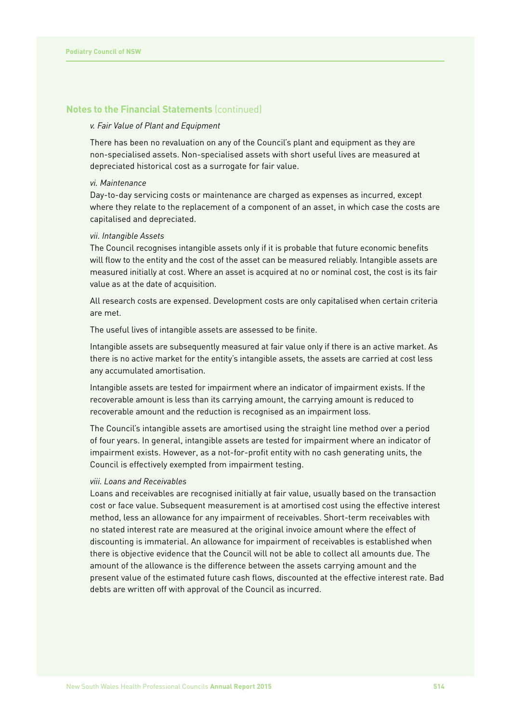#### *v. Fair Value of Plant and Equipment*

There has been no revaluation on any of the Council's plant and equipment as they are non-specialised assets. Non-specialised assets with short useful lives are measured at depreciated historical cost as a surrogate for fair value.

# *vi. Maintenance*

Day-to-day servicing costs or maintenance are charged as expenses as incurred, except where they relate to the replacement of a component of an asset, in which case the costs are capitalised and depreciated.

#### *vii. Intangible Assets*

The Council recognises intangible assets only if it is probable that future economic benefits will flow to the entity and the cost of the asset can be measured reliably. Intangible assets are measured initially at cost. Where an asset is acquired at no or nominal cost, the cost is its fair value as at the date of acquisition.

All research costs are expensed. Development costs are only capitalised when certain criteria are met.

The useful lives of intangible assets are assessed to be finite.

Intangible assets are subsequently measured at fair value only if there is an active market. As there is no active market for the entity's intangible assets, the assets are carried at cost less any accumulated amortisation.

Intangible assets are tested for impairment where an indicator of impairment exists. If the recoverable amount is less than its carrying amount, the carrying amount is reduced to recoverable amount and the reduction is recognised as an impairment loss.

The Council's intangible assets are amortised using the straight line method over a period of four years. In general, intangible assets are tested for impairment where an indicator of impairment exists. However, as a not-for-profit entity with no cash generating units, the Council is effectively exempted from impairment testing.

#### *viii. Loans and Receivables*

Loans and receivables are recognised initially at fair value, usually based on the transaction cost or face value. Subsequent measurement is at amortised cost using the effective interest method, less an allowance for any impairment of receivables. Short-term receivables with no stated interest rate are measured at the original invoice amount where the effect of discounting is immaterial. An allowance for impairment of receivables is established when there is objective evidence that the Council will not be able to collect all amounts due. The amount of the allowance is the difference between the assets carrying amount and the present value of the estimated future cash flows, discounted at the effective interest rate. Bad debts are written off with approval of the Council as incurred.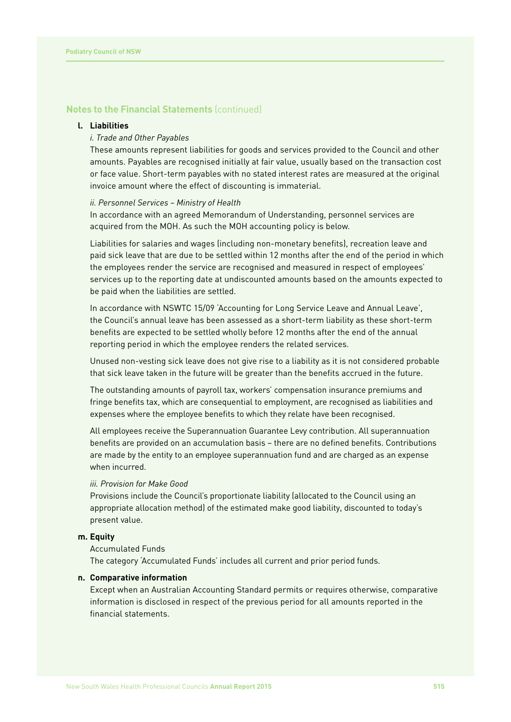#### **l. Liabilities**

# *i. Trade and Other Payables*

These amounts represent liabilities for goods and services provided to the Council and other amounts. Payables are recognised initially at fair value, usually based on the transaction cost or face value. Short-term payables with no stated interest rates are measured at the original invoice amount where the effect of discounting is immaterial.

#### *ii. Personnel Services – Ministry of Health*

In accordance with an agreed Memorandum of Understanding, personnel services are acquired from the MOH. As such the MOH accounting policy is below.

Liabilities for salaries and wages (including non-monetary benefits), recreation leave and paid sick leave that are due to be settled within 12 months after the end of the period in which the employees render the service are recognised and measured in respect of employees' services up to the reporting date at undiscounted amounts based on the amounts expected to be paid when the liabilities are settled.

In accordance with NSWTC 15/09 'Accounting for Long Service Leave and Annual Leave', the Council's annual leave has been assessed as a short-term liability as these short-term benefits are expected to be settled wholly before 12 months after the end of the annual reporting period in which the employee renders the related services.

Unused non-vesting sick leave does not give rise to a liability as it is not considered probable that sick leave taken in the future will be greater than the benefits accrued in the future.

The outstanding amounts of payroll tax, workers' compensation insurance premiums and fringe benefits tax, which are consequential to employment, are recognised as liabilities and expenses where the employee benefits to which they relate have been recognised.

All employees receive the Superannuation Guarantee Levy contribution. All superannuation benefits are provided on an accumulation basis – there are no defined benefits. Contributions are made by the entity to an employee superannuation fund and are charged as an expense when incurred.

# *iii. Provision for Make Good*

Provisions include the Council's proportionate liability (allocated to the Council using an appropriate allocation method) of the estimated make good liability, discounted to today's present value.

#### **m. Equity**

#### Accumulated Funds

The category 'Accumulated Funds' includes all current and prior period funds.

# **n. Comparative information**

Except when an Australian Accounting Standard permits or requires otherwise, comparative information is disclosed in respect of the previous period for all amounts reported in the financial statements.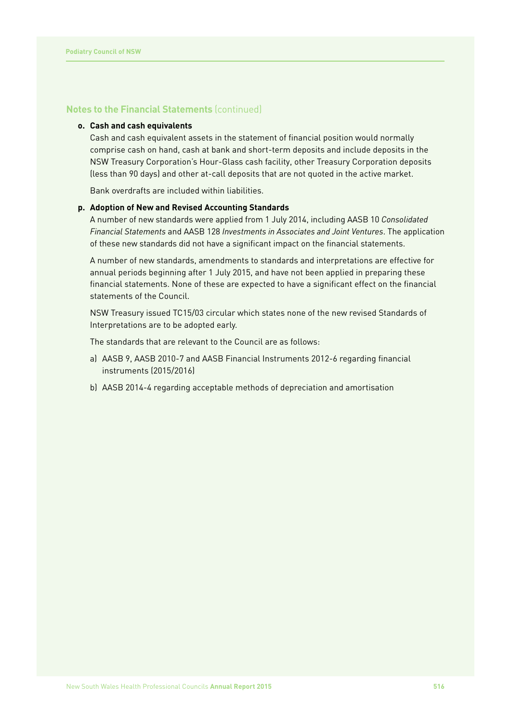# **o. Cash and cash equivalents**

Cash and cash equivalent assets in the statement of financial position would normally comprise cash on hand, cash at bank and short-term deposits and include deposits in the NSW Treasury Corporation's Hour-Glass cash facility, other Treasury Corporation deposits (less than 90 days) and other at-call deposits that are not quoted in the active market.

Bank overdrafts are included within liabilities.

#### **p. Adoption of New and Revised Accounting Standards**

A number of new standards were applied from 1 July 2014, including AASB 10 *Consolidated Financial Statements* and AASB 128 *Investments in Associates and Joint Ventures*. The application of these new standards did not have a significant impact on the financial statements.

A number of new standards, amendments to standards and interpretations are effective for annual periods beginning after 1 July 2015, and have not been applied in preparing these financial statements. None of these are expected to have a significant effect on the financial statements of the Council.

NSW Treasury issued TC15/03 circular which states none of the new revised Standards of Interpretations are to be adopted early.

The standards that are relevant to the Council are as follows:

- a) AASB 9, AASB 2010-7 and AASB Financial Instruments 2012-6 regarding financial instruments (2015/2016)
- b) AASB 2014-4 regarding acceptable methods of depreciation and amortisation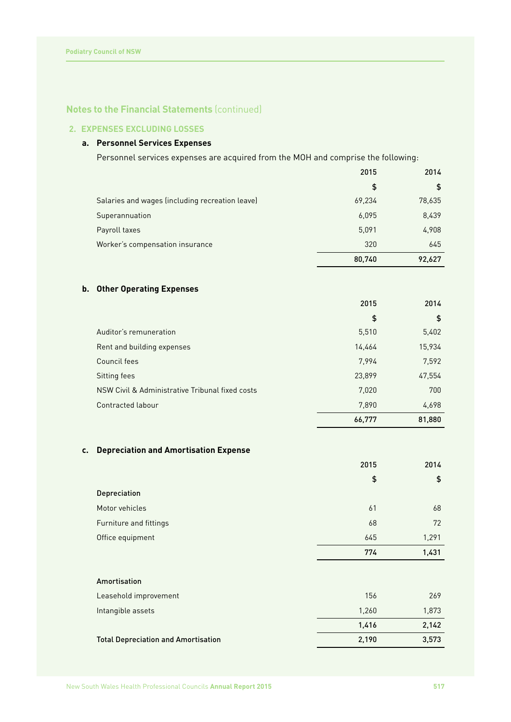# **2. EXPENSES EXCLUDING LOSSES**

# **a. Personnel Services Expenses**

Personnel services expenses are acquired from the MOH and comprise the following:

|                                                 | 2015   | 2014   |
|-------------------------------------------------|--------|--------|
|                                                 | \$     | \$     |
| Salaries and wages (including recreation leave) | 69,234 | 78,635 |
| Superannuation                                  | 6,095  | 8,439  |
| Payroll taxes                                   | 5,091  | 4,908  |
| Worker's compensation insurance                 | 320    | 645    |
|                                                 | 80,740 | 92,627 |

# **b. Other Operating Expenses**

|                                                 | 2015   | 2014   |
|-------------------------------------------------|--------|--------|
|                                                 | \$     | \$     |
| Auditor's remuneration                          | 5,510  | 5,402  |
| Rent and building expenses                      | 14,464 | 15,934 |
| Council fees                                    | 7.994  | 7,592  |
| Sitting fees                                    | 23,899 | 47,554 |
| NSW Civil & Administrative Tribunal fixed costs | 7,020  | 700    |
| Contracted labour                               | 7,890  | 4,698  |
|                                                 | 66,777 | 81,880 |

# **c. Depreciation and Amortisation Expense**

|                                            | 2015  | 2014  |
|--------------------------------------------|-------|-------|
|                                            | \$    | \$    |
| Depreciation                               |       |       |
| Motor vehicles                             | 61    | 68    |
| Furniture and fittings                     | 68    | 72    |
| Office equipment                           | 645   | 1,291 |
|                                            | 774   | 1,431 |
|                                            |       |       |
| Amortisation                               |       |       |
| Leasehold improvement                      | 156   | 269   |
| Intangible assets                          | 1,260 | 1,873 |
|                                            | 1,416 | 2,142 |
| <b>Total Depreciation and Amortisation</b> | 2,190 | 3,573 |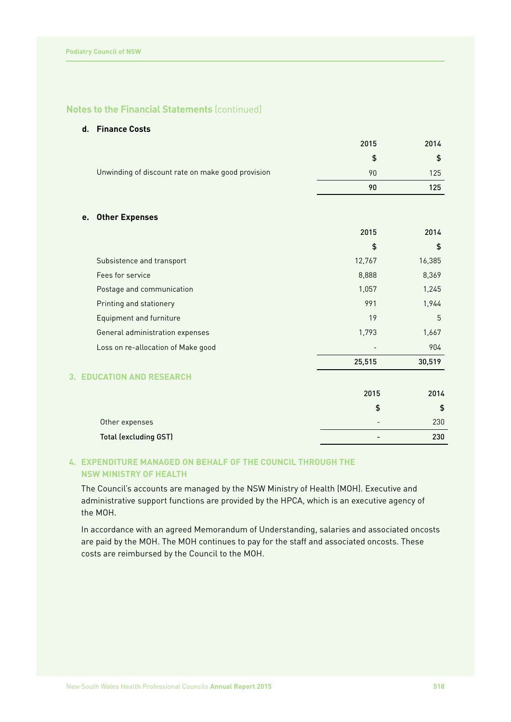# **d. Finance Costs**

|                                                   | 2015   | 2014   |
|---------------------------------------------------|--------|--------|
|                                                   | \$     | \$     |
| Unwinding of discount rate on make good provision | 90     | 125    |
|                                                   | 90     | 125    |
|                                                   |        |        |
| <b>Other Expenses</b><br>e.                       |        |        |
|                                                   | 2015   | 2014   |
|                                                   | \$     | \$     |
| Subsistence and transport                         | 12,767 | 16,385 |
| Fees for service                                  | 8,888  | 8,369  |
| Postage and communication                         | 1,057  | 1,245  |
| Printing and stationery                           | 991    | 1,944  |
| <b>Equipment and furniture</b>                    | 19     | 5      |
| General administration expenses                   | 1,793  | 1,667  |
| Loss on re-allocation of Make good                |        | 904    |
|                                                   | 25,515 | 30,519 |
| <b>EDUCATION AND RESEARCH</b><br>3.               |        |        |
|                                                   | 2015   | 2014   |
|                                                   | \$     | \$     |
| Other expenses                                    |        | 230    |
| <b>Total (excluding GST)</b>                      |        | 230    |

# **4. EXPENDITURE MANAGED ON BEHALF OF THE COUNCIL THROUGH THE NSW MINISTRY OF HEALTH**

The Council's accounts are managed by the NSW Ministry of Health (MOH). Executive and administrative support functions are provided by the HPCA, which is an executive agency of the MOH.

In accordance with an agreed Memorandum of Understanding, salaries and associated oncosts are paid by the MOH. The MOH continues to pay for the staff and associated oncosts. These costs are reimbursed by the Council to the MOH.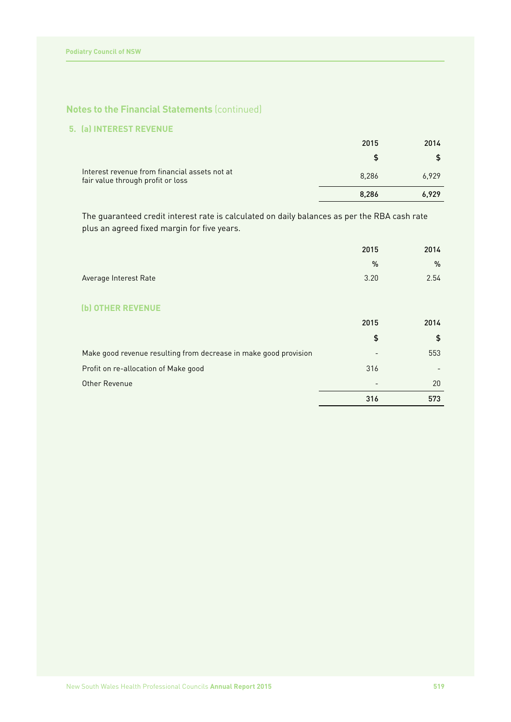# **5. (a) INTEREST REVENUE**

| Interest revenue from financial assets not at<br>fair value through profit or loss | 8.286 | 6,929 |
|------------------------------------------------------------------------------------|-------|-------|
|                                                                                    | 8.286 | 6,929 |

The guaranteed credit interest rate is calculated on daily balances as per the RBA cash rate plus an agreed fixed margin for five years.

|                                                                  | 2015 | 2014 |
|------------------------------------------------------------------|------|------|
|                                                                  | %    | $\%$ |
| Average Interest Rate                                            | 3.20 | 2.54 |
|                                                                  |      |      |
| <b>OTHER REVENUE</b><br>(b)                                      |      |      |
|                                                                  | 2015 | 2014 |
|                                                                  | \$   | \$   |
| Make good revenue resulting from decrease in make good provision |      | 553  |
| Profit on re-allocation of Make good                             | 316  |      |
| Other Revenue                                                    |      | 20   |
|                                                                  | 316  | 573  |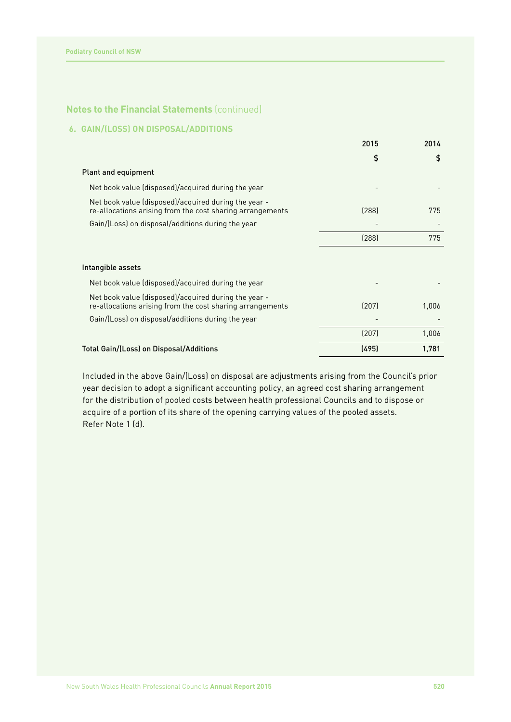# **6. GAIN/(LOSS) ON DISPOSAL/ADDITIONS**

|                                                                                                                   | 2015  | 2014  |
|-------------------------------------------------------------------------------------------------------------------|-------|-------|
|                                                                                                                   | \$    | \$    |
| <b>Plant and equipment</b>                                                                                        |       |       |
| Net book value (disposed)/acquired during the year                                                                |       |       |
| Net book value (disposed)/acquired during the year -<br>re-allocations arising from the cost sharing arrangements | (288) | 775   |
| Gain/(Loss) on disposal/additions during the year                                                                 |       |       |
|                                                                                                                   | (288) | 775   |
|                                                                                                                   |       |       |
| Intangible assets                                                                                                 |       |       |
| Net book value (disposed)/acquired during the year                                                                |       |       |
| Net book value (disposed)/acquired during the year -<br>re-allocations arising from the cost sharing arrangements | (207) | 1,006 |
| Gain/(Loss) on disposal/additions during the year                                                                 |       |       |
|                                                                                                                   | (207) | 1,006 |
| Total Gain/(Loss) on Disposal/Additions                                                                           | (495) | 1,781 |

Included in the above Gain/(Loss) on disposal are adjustments arising from the Council's prior year decision to adopt a significant accounting policy, an agreed cost sharing arrangement for the distribution of pooled costs between health professional Councils and to dispose or acquire of a portion of its share of the opening carrying values of the pooled assets. Refer Note 1 (d).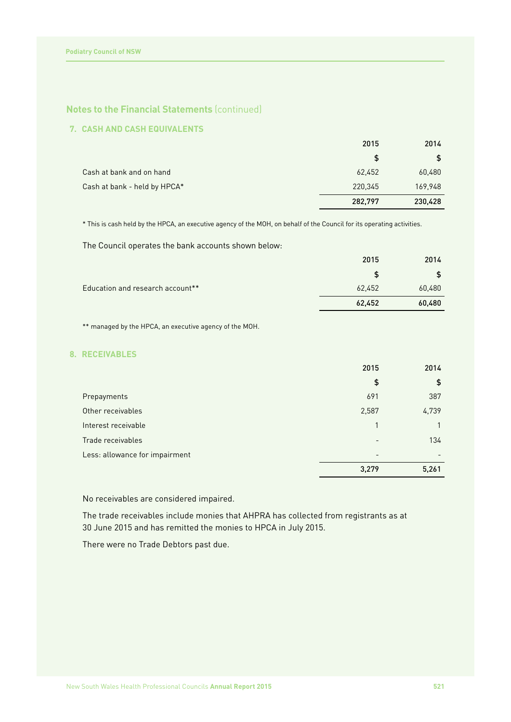# **7. CASH AND CASH EQUIVALENTS**

|                              | 2015          | 2014    |
|------------------------------|---------------|---------|
|                              | <sup>\$</sup> |         |
| Cash at bank and on hand     | 62.452        | 60,480  |
| Cash at bank - held by HPCA* | 220,345       | 169,948 |
|                              | 282,797       | 230,428 |

\* This is cash held by the HPCA, an executive agency of the MOH, on behalf of the Council for its operating activities.

The Council operates the bank accounts shown below:

|                                  | 2015   | 2014   |
|----------------------------------|--------|--------|
|                                  |        |        |
| Education and research account** | 62,452 | 60,480 |
|                                  | 62,452 | 60,480 |

\*\* managed by the HPCA, an executive agency of the MOH.

# **8. RECEIVABLES**

|                                | 2015  | 2014          |
|--------------------------------|-------|---------------|
|                                | \$    | $\frac{1}{2}$ |
| Prepayments                    | 691   | 387           |
| Other receivables              | 2,587 | 4,739         |
| Interest receivable            |       |               |
| Trade receivables              |       | 134           |
| Less: allowance for impairment |       |               |
|                                | 3,279 | 5,261         |

No receivables are considered impaired.

The trade receivables include monies that AHPRA has collected from registrants as at 30 June 2015 and has remitted the monies to HPCA in July 2015.

There were no Trade Debtors past due.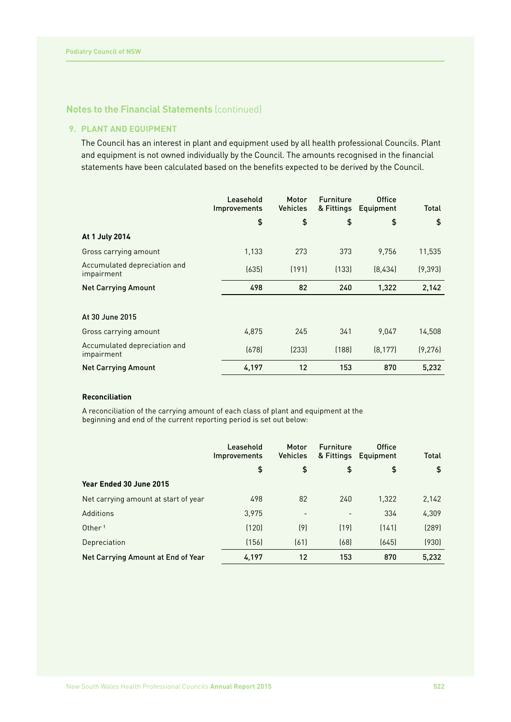# **9. PLANT AND EQUIPMENT**

The Council has an interest in plant and equipment used by all health professional Councils. Plant and equipment is not owned individually by the Council. The amounts recognised in the financial statements have been calculated based on the benefits expected to be derived by the Council.

|                                            | Leasehold<br><b>Improvements</b> | Motor<br><b>Vehicles</b> | <b>Furniture</b><br>& Fittings | <b>Office</b><br>Equipment | <b>Total</b> |
|--------------------------------------------|----------------------------------|--------------------------|--------------------------------|----------------------------|--------------|
|                                            | \$                               | \$                       | \$                             | \$                         | \$           |
| At 1 July 2014                             |                                  |                          |                                |                            |              |
| Gross carrying amount                      | 1,133                            | 273                      | 373                            | 9.756                      | 11,535       |
| Accumulated depreciation and<br>impairment | (635)                            | (191)                    | [133]                          | [8.434]                    | (9, 393)     |
| <b>Net Carrying Amount</b>                 | 498                              | 82                       | 240                            | 1,322                      | 2,142        |
|                                            |                                  |                          |                                |                            |              |
| At 30 June 2015                            |                                  |                          |                                |                            |              |
| Gross carrying amount                      | 4,875                            | 245                      | 341                            | 9.047                      | 14,508       |
| Accumulated depreciation and<br>impairment | (678)                            | [233]                    | (188)                          | (8, 177)                   | (9, 276)     |
| <b>Net Carrying Amount</b>                 | 4,197                            | 12                       | 153                            | 870                        | 5,232        |

#### **Reconciliation**

A reconciliation of the carrying amount of each class of plant and equipment at the beginning and end of the current reporting period is set out below:

|                                      | Leasehold<br><i>Improvements</i> | Motor<br><b>Vehicles</b> | <b>Furniture</b><br>& Fittings | <b>Office</b><br>Equipment | Total |
|--------------------------------------|----------------------------------|--------------------------|--------------------------------|----------------------------|-------|
|                                      | \$                               | \$                       | \$                             | \$                         | \$    |
| Year Ended 30 June 2015              |                                  |                          |                                |                            |       |
| Net carrying amount at start of year | 498                              | 82                       | 240                            | 1,322                      | 2,142 |
| Additions                            | 3,975                            | $\overline{\phantom{a}}$ |                                | 334                        | 4,309 |
| Other <sup>1</sup>                   | (120)                            | (9)                      | (19)                           | (141)                      | (289) |
| Depreciation                         | (156)                            | [61]                     | (68)                           | (645)                      | (930) |
| Net Carrying Amount at End of Year   | 4,197                            | 12                       | 153                            | 870                        | 5,232 |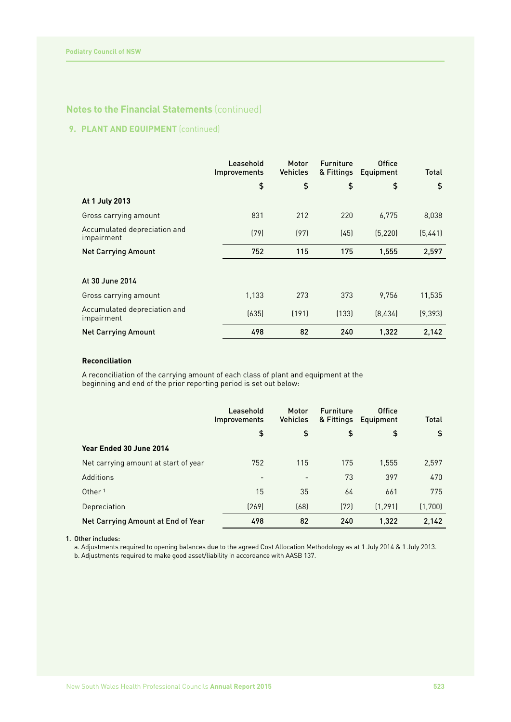# **9. PLANT AND EQUIPMENT** (continued)

|                                            | Leasehold<br><b>Improvements</b> | Motor<br><b>Vehicles</b> | <b>Furniture</b><br>& Fittings | <b>Office</b><br>Equipment | <b>Total</b> |
|--------------------------------------------|----------------------------------|--------------------------|--------------------------------|----------------------------|--------------|
|                                            | \$                               | \$                       | \$                             | \$                         | \$           |
| At 1 July 2013                             |                                  |                          |                                |                            |              |
| Gross carrying amount                      | 831                              | 212                      | 220                            | 6,775                      | 8,038        |
| Accumulated depreciation and<br>impairment | (79)                             | (97)                     | (45)                           | (5, 220)                   | (5,441)      |
| <b>Net Carrying Amount</b>                 | 752                              | 115                      | 175                            | 1,555                      | 2,597        |
|                                            |                                  |                          |                                |                            |              |
| At 30 June 2014                            |                                  |                          |                                |                            |              |
| Gross carrying amount                      | 1,133                            | 273                      | 373                            | 9.756                      | 11,535       |
| Accumulated depreciation and<br>impairment | (635)                            | (191)                    | (133)                          | (8,434)                    | (9, 393)     |
| <b>Net Carrying Amount</b>                 | 498                              | 82                       | 240                            | 1,322                      | 2,142        |

# **Reconciliation**

A reconciliation of the carrying amount of each class of plant and equipment at the beginning and end of the prior reporting period is set out below:

|                                      | Leasehold<br><b>Improvements</b> | Motor<br><b>Vehicles</b> | <b>Furniture</b> | Office<br>& Fittings Equipment | <b>Total</b> |
|--------------------------------------|----------------------------------|--------------------------|------------------|--------------------------------|--------------|
|                                      | \$                               | \$                       | \$               | \$                             | \$           |
| Year Ended 30 June 2014              |                                  |                          |                  |                                |              |
| Net carrying amount at start of year | 752                              | 115                      | 175              | 1,555                          | 2,597        |
| Additions                            |                                  | $\overline{\phantom{a}}$ | 73               | 397                            | 470          |
| Other <sup>1</sup>                   | 15                               | 35                       | 64               | 661                            | 775          |
| Depreciation                         | (269)                            | (68)                     | (72)             | (1.291)                        | (1,700)      |
| Net Carrying Amount at End of Year   | 498                              | 82                       | 240              | 1.322                          | 2,142        |

#### 1. Other includes:

a. Adjustments required to opening balances due to the agreed Cost Allocation Methodology as at 1 July 2014 & 1 July 2013. b. Adjustments required to make good asset/liability in accordance with AASB 137.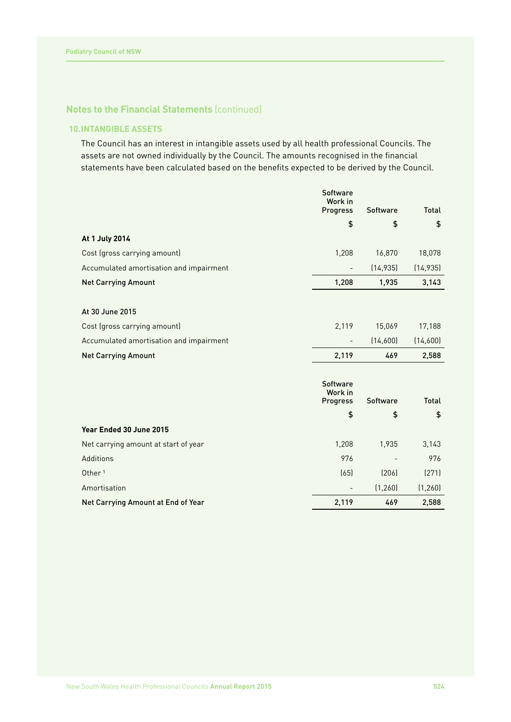# **10.INTANGIBLE ASSETS**

The Council has an interest in intangible assets used by all health professional Councils. The assets are not owned individually by the Council. The amounts recognised in the financial statements have been calculated based on the benefits expected to be derived by the Council.

|                                         | <b>Software</b><br>Work in |                 |              |
|-----------------------------------------|----------------------------|-----------------|--------------|
|                                         | Progress                   | Software        | <b>Total</b> |
|                                         | \$                         | \$              | \$           |
| At 1 July 2014                          |                            |                 |              |
| Cost (gross carrying amount)            | 1,208                      | 16,870          | 18,078       |
| Accumulated amortisation and impairment | $\overline{\phantom{0}}$   | (14, 935)       | (14, 935)    |
| <b>Net Carrying Amount</b>              | 1,208                      | 1,935           | 3,143        |
|                                         |                            |                 |              |
| At 30 June 2015                         |                            |                 |              |
| Cost (gross carrying amount)            | 2,119                      | 15,069          | 17,188       |
| Accumulated amortisation and impairment | $\overline{\phantom{a}}$   | (14,600)        | (14,600)     |
| <b>Net Carrying Amount</b>              | 2,119                      | 469             | 2,588        |
|                                         |                            |                 |              |
|                                         | <b>Software</b>            |                 |              |
|                                         | Work in<br>Progress        | <b>Software</b> | <b>Total</b> |
|                                         | \$                         | \$              | \$           |
| Year Ended 30 June 2015                 |                            |                 |              |
|                                         |                            |                 |              |
| Net carrying amount at start of year    | 1,208                      | 1,935           | 3,143        |
| Additions                               | 976                        |                 | 976          |
| Other <sup>1</sup>                      | (65)                       | (206)           | (271)        |
| Amortisation                            |                            | (1, 260)        | (1, 260)     |
| Net Carrying Amount at End of Year      | 2,119                      | 469             | 2,588        |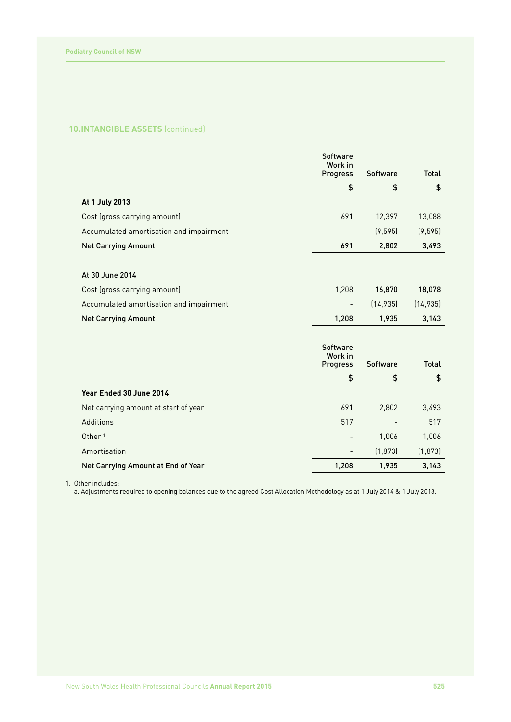# **10.INTANGIBLE ASSETS** (continued)

|                                         | <b>Software</b><br>Work in |                 |              |
|-----------------------------------------|----------------------------|-----------------|--------------|
|                                         | <b>Progress</b>            | <b>Software</b> | Total        |
|                                         | \$                         | \$              | \$           |
| At 1 July 2013                          |                            |                 |              |
| Cost (gross carrying amount)            | 691                        | 12,397          | 13,088       |
| Accumulated amortisation and impairment |                            | (9, 595)        | (9, 595)     |
| <b>Net Carrying Amount</b>              | 691                        | 2,802           | 3,493        |
|                                         |                            |                 |              |
| At 30 June 2014                         |                            |                 |              |
| Cost (gross carrying amount)            | 1,208                      | 16,870          | 18,078       |
| Accumulated amortisation and impairment | $\overline{a}$             | (14, 935)       | (14, 935)    |
| <b>Net Carrying Amount</b>              | 1,208                      | 1,935           | 3,143        |
|                                         |                            |                 |              |
|                                         | <b>Software</b><br>Work in |                 |              |
|                                         | Progress                   | <b>Software</b> | <b>Total</b> |
|                                         | \$                         | \$              | \$           |
| Year Ended 30 June 2014                 |                            |                 |              |
| Net carrying amount at start of year    | 691                        | 2,802           | 3,493        |
| Additions                               | 517                        |                 | 517          |
|                                         |                            |                 |              |

Amortisation (1,873) (1,873) Net Carrying Amount at End of Year 1,208 1,208 1,935 3,143

1. Other includes:

a. Adjustments required to opening balances due to the agreed Cost Allocation Methodology as at 1 July 2014 & 1 July 2013.

المال المراكز المال المراكز المراكز المراكز المراكز المراكز المراكز المراكز المراكز المراكز المراكز المراكز ال<br>المراكز المراكز المراكز المراكز المراكز المراكز المراكز المراكز المراكز المراكز المراكز المراكز المراكز المراك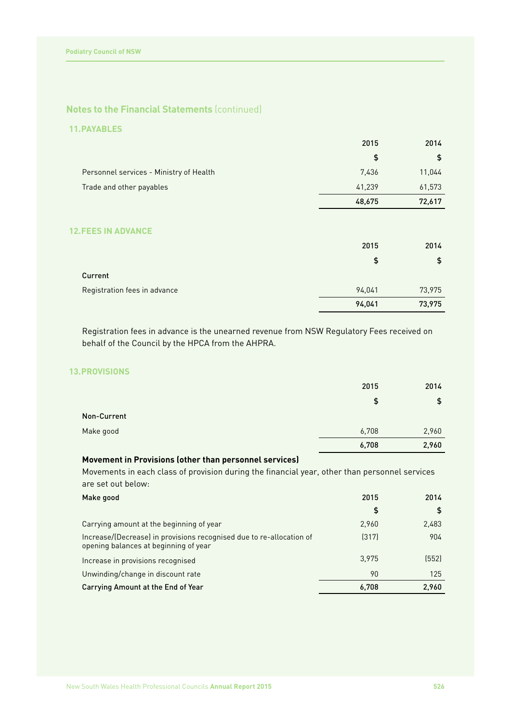# **11.PAYABLES**

|                                         | 2015   | 2014   |
|-----------------------------------------|--------|--------|
|                                         | \$     | \$     |
| Personnel services - Ministry of Health | 7,436  | 11,044 |
| Trade and other payables                | 41,239 | 61,573 |
|                                         | 48,675 | 72,617 |
|                                         |        |        |
| <b>12. FEES IN ADVANCE</b>              | 2015   | 2014   |
|                                         | \$     | \$     |
| Current                                 |        |        |
| Registration fees in advance            | 94,041 | 73,975 |
|                                         | 94,041 | 73,975 |

Registration fees in advance is the unearned revenue from NSW Regulatory Fees received on behalf of the Council by the HPCA from the AHPRA.

# **13.PROVISIONS**

|             | 2015  | 2014          |
|-------------|-------|---------------|
|             | \$    | $\frac{4}{5}$ |
| Non-Current |       |               |
| Make good   | 6,708 | 2,960         |
|             | 6,708 | 2,960         |

# **Movement in Provisions (other than personnel services)**

Movements in each class of provision during the financial year, other than personnel services are set out below:

| Make good                                                                                                     | 2015  | 2014  |
|---------------------------------------------------------------------------------------------------------------|-------|-------|
|                                                                                                               | \$    | \$    |
| Carrying amount at the beginning of year                                                                      | 2,960 | 2,483 |
| Increase/(Decrease) in provisions recognised due to re-allocation of<br>opening balances at beginning of year | (317) | 904   |
| Increase in provisions recognised                                                                             | 3.975 | (552) |
| Unwinding/change in discount rate                                                                             | 90    | 125   |
| Carrying Amount at the End of Year                                                                            | 6.708 | 2,960 |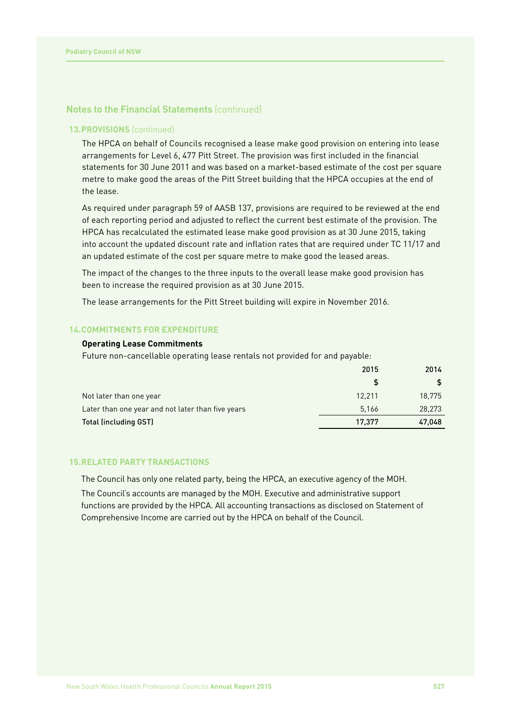# **13.PROVISIONS** (continued)

The HPCA on behalf of Councils recognised a lease make good provision on entering into lease arrangements for Level 6, 477 Pitt Street. The provision was first included in the financial statements for 30 June 2011 and was based on a market-based estimate of the cost per square metre to make good the areas of the Pitt Street building that the HPCA occupies at the end of the lease.

As required under paragraph 59 of AASB 137, provisions are required to be reviewed at the end of each reporting period and adjusted to reflect the current best estimate of the provision. The HPCA has recalculated the estimated lease make good provision as at 30 June 2015, taking into account the updated discount rate and inflation rates that are required under TC 11/17 and an updated estimate of the cost per square metre to make good the leased areas.

The impact of the changes to the three inputs to the overall lease make good provision has been to increase the required provision as at 30 June 2015.

The lease arrangements for the Pitt Street building will expire in November 2016.

#### **14.COMMITMENTS FOR EXPENDITURE**

#### **Operating Lease Commitments**

Future non-cancellable operating lease rentals not provided for and payable:

|                                                   | 2015   | 2014   |
|---------------------------------------------------|--------|--------|
|                                                   |        |        |
| Not later than one year                           | 12.211 | 18.775 |
| Later than one year and not later than five years | 5.166  | 28,273 |
| <b>Total (including GST)</b>                      | 17.377 | 47,048 |

#### **15.RELATED PARTY TRANSACTIONS**

The Council has only one related party, being the HPCA, an executive agency of the MOH.

The Council's accounts are managed by the MOH. Executive and administrative support functions are provided by the HPCA. All accounting transactions as disclosed on Statement of Comprehensive Income are carried out by the HPCA on behalf of the Council.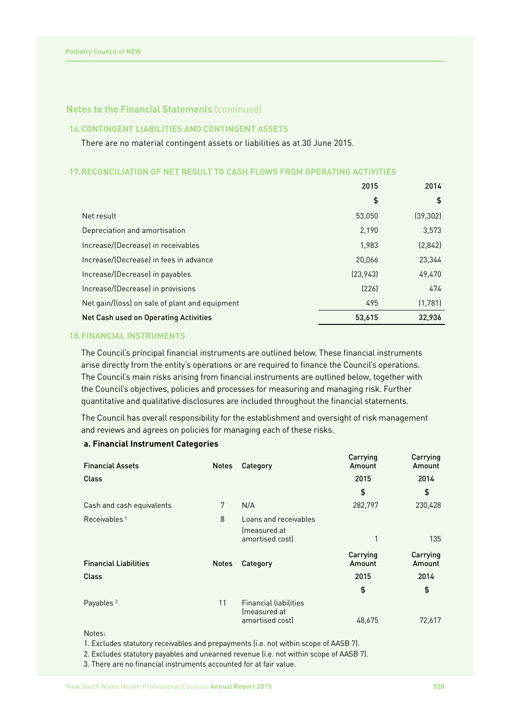# **16.CONTINGENT LIABILITIES AND CONTINGENT ASSETS**

There are no material contingent assets or liabilities as at 30 June 2015.

#### **17.RECONCILIATION OF NET RESULT TO CASH FLOWS FROM OPERATING ACTIVITIES**

|                                                | 2015      | 2014      |
|------------------------------------------------|-----------|-----------|
|                                                | \$        | \$        |
| Net result                                     | 53.050    | (39, 302) |
| Depreciation and amortisation                  | 2,190     | 3,573     |
| Increase/(Decrease) in receivables             | 1.983     | (2,842)   |
| Increase/(Decrease) in fees in advance         | 20,066    | 23,344    |
| Increase/(Decrease) in payables                | (23, 943) | 49,470    |
| Increase/(Decrease) in provisions              | [226]     | 474       |
| Net gain/(loss) on sale of plant and equipment | 495       | (1,781)   |
| <b>Net Cash used on Operating Activities</b>   | 53,615    | 32,936    |

# **18.FINANCIAL INSTRUMENTS**

The Council's principal financial instruments are outlined below. These financial instruments arise directly from the entity's operations or are required to finance the Council's operations. The Council's main risks arising from financial instruments are outlined below, together with the Council's objectives, policies and processes for measuring and managing risk. Further quantitative and qualitative disclosures are included throughout the financial statements.

The Council has overall responsibility for the establishment and oversight of risk management and reviews and agrees on policies for managing each of these risks.

#### **a. Financial Instrument Categories**

| <b>Notes</b> | Category                                                        | Carrying<br>Amount | Carrying<br>Amount |
|--------------|-----------------------------------------------------------------|--------------------|--------------------|
|              |                                                                 | 2015               | 2014               |
|              |                                                                 | \$                 | \$                 |
| 7            | N/A                                                             | 282,797            | 230,428            |
| 8            | Loans and receivables<br>(measured at<br>amortised cost)        | 1                  | 135                |
| <b>Notes</b> | Category                                                        | Carrying<br>Amount | Carrying<br>Amount |
|              |                                                                 | 2015               | 2014               |
|              |                                                                 | \$                 | \$                 |
| 11           | <b>Financial liabilities</b><br>(measured at<br>amortised cost) | 48,675             | 72,617             |
|              |                                                                 |                    |                    |

Notes:

1. Excludes statutory receivables and prepayments (i.e. not within scope of AASB 7).

2. Excludes statutory payables and unearned revenue (i.e. not within scope of AASB 7).

3. There are no financial instruments accounted for at fair value.